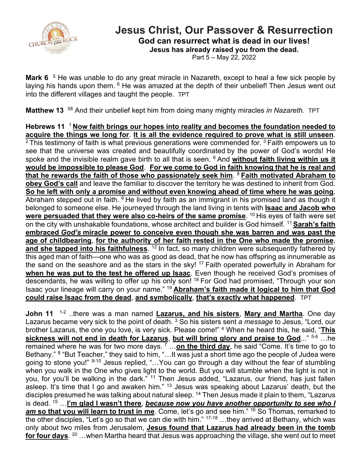

## **Jesus Christ, Our Passover & Resurrection**

**God can resurrect what is dead in our lives!**

**Jesus has already raised you from the dead.**

Part 5 – May 22, 2022

**Mark 6**<sup>5</sup> He was unable to do any great miracle in Nazareth, except to heal a few sick people by laying his hands upon them. <sup>6</sup> He was amazed at the depth of their unbelief! Then Jesus went out into the different villages and taught the people. TPT

**Matthew 13** 58 And their unbelief kept him from doing many mighty miracles *in Nazareth*. TPT

**Hebrews 11** 1 **Now faith brings our hopes into reality and becomes the foundation needed to acquire the things we long for**. **It is all the evidence required to prove what is still unseen**.<br><sup>2</sup> This testimony of faith is what previous generations were commended for. <sup>3</sup> Faith empowers us to see that the universe was created and beautifully coordinated by the power of God's words! He spoke and the invisible realm gave birth to all that is seen. 6 And **without faith living within us it would be impossible to please God**. **For we come to God in faith knowing that he is real and that he rewards the faith of those who passionately seek him**. <sup>8</sup>**Faith motivated Abraham to obey God's call** and leave the familiar to discover the territory he was destined to inherit from God. **So he left with only a promise and without even knowing ahead of time where he was going**, Abraham stepped out in faith.  $9$  He lived by faith as an immigrant in his promised land as though it belonged to someone else. He journeyed through the land living in tents with **Isaac and Jacob who were persuaded that they were also co-heirs of the same promise.** <sup>10</sup> His eyes of faith were set on the city with unshakable foundations, whose architect and builder is God himself. <sup>11</sup>**Sarah's faith embraced** *God's* **miracle power to conceive even though she was barren and was past the age of childbearing**, **for the authority of her faith rested in the One who made the promise**, and she tapped into his faithfulness.<sup>12</sup> In fact, so many children were subsequently fathered by this aged man of faith—one who was as good as dead, that he now has offspring as innumerable as the sand on the seashore and as the stars in the sky! <sup>17</sup> Faith operated powerfully in Abraham for **when he was put to the test he offered up Isaac**. Even though he received God's promises of descendants, he was willing to offer up his only son! <sup>18</sup> For God had promised, "Through your son Isaac your lineage will carry on your name." <sup>19</sup>**Abraham's faith made it logical to him that God could raise Isaac from the dead**, **and symbolically**, **that's exactly what happened**. TPT

**John 11** 1-2 ..there was a man named **Lazarus, and his sisters**, **Mary and Martha**. One day Lazarus became very sick to the point of death. <sup>3</sup> So his sisters sent *a message* to Jesus, "Lord, our brother Lazarus, the one you love, is very sick. Please come!" <sup>4</sup> When he heard this, he said, "**This sickness will not end in death for Lazarus**, **but will bring glory and praise to God**..." 5-6 …he remained where he was for two more days. <sup>7</sup> …**on the third day**, he said "Come. It's time to go to Bethany." <sup>8</sup> "But Teacher," they said to him, "...It was just a short time ago the people of Judea were going to stone you!" 9-10 Jesus replied, "…You can go through a day without the fear of stumbling when you walk in the One who gives light to the world. But you will stumble when the light is not in you, for you'll be walking in the dark." <sup>11</sup> Then Jesus added, "Lazarus, our friend, has just fallen asleep. It's time that I go and awaken him." <sup>13</sup> Jesus was speaking about Lazarus' death, but the disciples presumed he was talking about natural sleep. <sup>14</sup> Then Jesus made it plain to them, "Lazarus is dead. <sup>15</sup> …**I'm glad I wasn't there**, *because now you have another opportunity to see who I am* **so that you will learn to trust in me**. Come, let's go and see him." <sup>16</sup> So Thomas, remarked to the other disciples, "Let's go so that we can die with him." 17-18 …they arrived at Bethany, which was only about two miles from Jerusalem, **Jesus found that Lazarus had already been in the tomb for four days**. <sup>20</sup> …when Martha heard that Jesus was approaching the village, she went out to meet